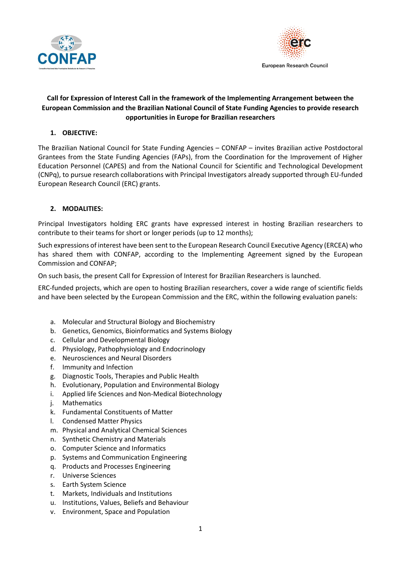



# **Call for Expression of Interest Call in the framework of the Implementing Arrangement between the European Commission and the Brazilian National Council of State Funding Agencies to provide research opportunities in Europe for Brazilian researchers**

## **1. OBJECTIVE:**

The Brazilian National Council for State Funding Agencies – CONFAP – invites Brazilian active Postdoctoral Grantees from the State Funding Agencies (FAPs), from the Coordination for the Improvement of Higher Education Personnel (CAPES) and from the National Council for Scientific and Technological Development (CNPq), to pursue research collaborations with Principal Investigators already supported through EU-funded European Research Council (ERC) grants.

## **2. MODALITIES:**

Principal Investigators holding ERC grants have expressed interest in hosting Brazilian researchers to contribute to their teams for short or longer periods (up to 12 months);

Such expressions of interest have been sent to the European Research Council Executive Agency (ERCEA) who has shared them with CONFAP, according to the Implementing Agreement signed by the European Commission and CONFAP;

On such basis, the present Call for Expression of Interest for Brazilian Researchers is launched.

ERC-funded projects, which are open to hosting Brazilian researchers, cover a wide range of scientific fields and have been selected by the European Commission and the ERC, within the following evaluation panels:

- a. Molecular and Structural Biology and Biochemistry
- b. Genetics, Genomics, Bioinformatics and Systems Biology
- c. Cellular and Developmental Biology
- d. Physiology, Pathophysiology and Endocrinology
- e. Neurosciences and Neural Disorders
- f. Immunity and Infection
- g. Diagnostic Tools, Therapies and Public Health
- h. Evolutionary, Population and Environmental Biology
- i. Applied life Sciences and Non-Medical Biotechnology
- j. Mathematics
- k. Fundamental Constituents of Matter
- l. Condensed Matter Physics
- m. Physical and Analytical Chemical Sciences
- n. Synthetic Chemistry and Materials
- o. Computer Science and Informatics
- p. Systems and Communication Engineering
- q. Products and Processes Engineering
- r. Universe Sciences
- s. Earth System Science
- t. Markets, Individuals and Institutions
- u. Institutions, Values, Beliefs and Behaviour
- v. Environment, Space and Population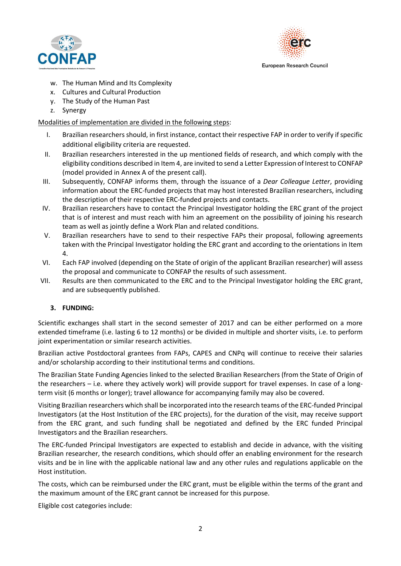



- w. The Human Mind and Its Complexity
- x. Cultures and Cultural Production
- y. The Study of the Human Past
- z. Synergy

## Modalities of implementation are divided in the following steps:

- I. Brazilian researchersshould, in first instance, contact their respective FAP in order to verify if specific additional eligibility criteria are requested.
- II. Brazilian researchers interested in the up mentioned fields of research, and which comply with the eligibility conditions described in Item 4, are invited to send a Letter Expression of Interest to CONFAP (model provided in Annex A of the present call).
- III. Subsequently, CONFAP informs them, through the issuance of a *Dear Colleague Letter*, providing information about the ERC-funded projects that may host interested Brazilian researchers, including the description of their respective ERC-funded projects and contacts.
- IV. Brazilian researchers have to contact the Principal Investigator holding the ERC grant of the project that is of interest and must reach with him an agreement on the possibility of joining his research team as well as jointly define a Work Plan and related conditions.
- V. Brazilian researchers have to send to their respective FAPs their proposal, following agreements taken with the Principal Investigator holding the ERC grant and according to the orientations in Item 4.
- VI. Each FAP involved (depending on the State of origin of the applicant Brazilian researcher) will assess the proposal and communicate to CONFAP the results of such assessment.
- VII. Results are then communicated to the ERC and to the Principal Investigator holding the ERC grant, and are subsequently published.

## **3. FUNDING:**

Scientific exchanges shall start in the second semester of 2017 and can be either performed on a more extended timeframe (i.e. lasting 6 to 12 months) or be divided in multiple and shorter visits, i.e. to perform joint experimentation or similar research activities.

Brazilian active Postdoctoral grantees from FAPs, CAPES and CNPq will continue to receive their salaries and/or scholarship according to their institutional terms and conditions.

The Brazilian State Funding Agencies linked to the selected Brazilian Researchers (from the State of Origin of the researchers – i.e. where they actively work) will provide support for travel expenses. In case of a longterm visit (6 months or longer); travel allowance for accompanying family may also be covered.

Visiting Brazilian researchers which shall be incorporated into the research teams of the ERC-funded Principal Investigators (at the Host Institution of the ERC projects), for the duration of the visit, may receive support from the ERC grant, and such funding shall be negotiated and defined by the ERC funded Principal Investigators and the Brazilian researchers.

The ERC-funded Principal Investigators are expected to establish and decide in advance, with the visiting Brazilian researcher, the research conditions, which should offer an enabling environment for the research visits and be in line with the applicable national law and any other rules and regulations applicable on the Host institution.

The costs, which can be reimbursed under the ERC grant, must be eligible within the terms of the grant and the maximum amount of the ERC grant cannot be increased for this purpose.

Eligible cost categories include: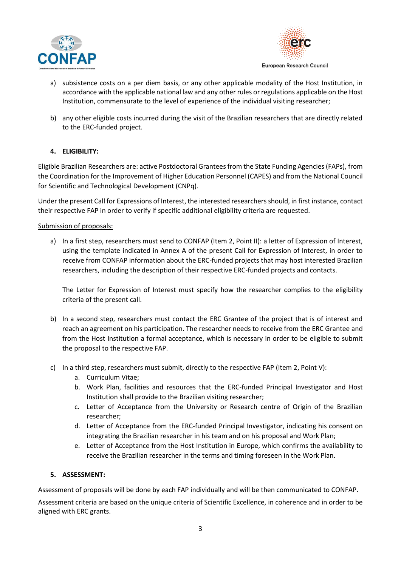



- a) subsistence costs on a per diem basis, or any other applicable modality of the Host Institution, in accordance with the applicable national law and any other rules or regulations applicable on the Host Institution, commensurate to the level of experience of the individual visiting researcher;
- b) any other eligible costs incurred during the visit of the Brazilian researchers that are directly related to the ERC-funded project.

# **4. ELIGIBILITY:**

Eligible Brazilian Researchers are: active Postdoctoral Grantees from the State Funding Agencies (FAPs), from the Coordination for the Improvement of Higher Education Personnel (CAPES) and from the National Council for Scientific and Technological Development (CNPq).

Under the present Call for Expressions of Interest, the interested researchers should, in first instance, contact their respective FAP in order to verify if specific additional eligibility criteria are requested.

### Submission of proposals:

a) In a first step, researchers must send to CONFAP (Item 2, Point II): a letter of Expression of Interest, using the template indicated in Annex A of the present Call for Expression of Interest, in order to receive from CONFAP information about the ERC-funded projects that may host interested Brazilian researchers, including the description of their respective ERC-funded projects and contacts.

The Letter for Expression of Interest must specify how the researcher complies to the eligibility criteria of the present call.

- b) In a second step, researchers must contact the ERC Grantee of the project that is of interest and reach an agreement on his participation. The researcher needs to receive from the ERC Grantee and from the Host Institution a formal acceptance, which is necessary in order to be eligible to submit the proposal to the respective FAP.
- c) In a third step, researchers must submit, directly to the respective FAP (Item 2, Point V):
	- a. Curriculum Vitae;
	- b. Work Plan, facilities and resources that the ERC-funded Principal Investigator and Host Institution shall provide to the Brazilian visiting researcher;
	- c. Letter of Acceptance from the University or Research centre of Origin of the Brazilian researcher;
	- d. Letter of Acceptance from the ERC-funded Principal Investigator, indicating his consent on integrating the Brazilian researcher in his team and on his proposal and Work Plan;
	- e. Letter of Acceptance from the Host Institution in Europe, which confirms the availability to receive the Brazilian researcher in the terms and timing foreseen in the Work Plan.

#### **5. ASSESSMENT:**

Assessment of proposals will be done by each FAP individually and will be then communicated to CONFAP.

Assessment criteria are based on the unique criteria of Scientific Excellence, in coherence and in order to be aligned with ERC grants.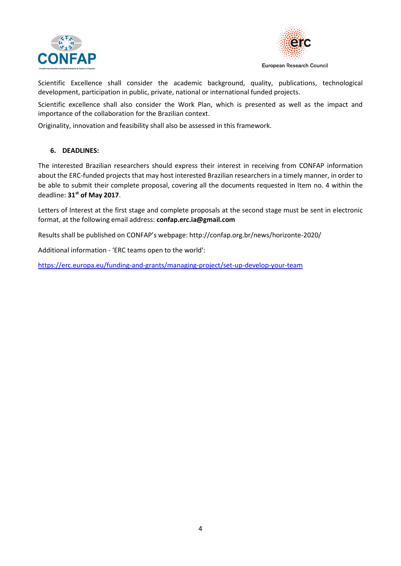



Scientific Excellence shall consider the academic background, quality, publications, technological development, participation in public, private, national or international funded projects.

Scientific excellence shall also consider the Work Plan, which is presented as well as the impact and importance of the collaboration for the Brazilian context.

Originality, innovation and feasibility shall also be assessed in this framework.

### **6. DEADLINES:**

The interested Brazilian researchers should express their interest in receiving from CONFAP information about the ERC-funded projects that may host interested Brazilian researchers in a timely manner, in order to be able to submit their complete proposal, covering all the documents requested in Item no. 4 within the deadline: **31st of May 2017**.

Letters of Interest at the first stage and complete proposals at the second stage must be sent in electronic format, at the following email address: **confap.erc.ia@gmail.com**

Results shall be published on CONFAP's webpage: http://confap.org.br/news/horizonte-2020/

Additional information - 'ERC teams open to the world':

<https://erc.europa.eu/funding-and-grants/managing-project/set-up-develop-your-team>